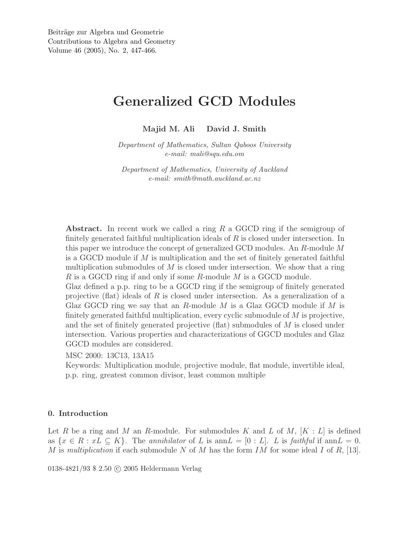# Generalized GCD Modules

Majid M. Ali David J. Smith

*Department of Mathematics, Sultan Qaboos University e-mail: mali@squ.edu.om*

*Department of Mathematics, University of Auckland e-mail: smith@math.auckland.ac.nz*

Abstract. In recent work we called a ring  $R$  a GGCD ring if the semigroup of finitely generated faithful multiplication ideals of  $R$  is closed under intersection. In this paper we introduce the concept of generalized GCD modules. An R-module M is a GGCD module if  $M$  is multiplication and the set of finitely generated faithful multiplication submodules of  $M$  is closed under intersection. We show that a ring R is a GGCD ring if and only if some R-module M is a GGCD module.

Glaz defined a p.p. ring to be a GGCD ring if the semigroup of finitely generated projective (flat) ideals of R is closed under intersection. As a generalization of a Glaz GGCD ring we say that an R-module  $M$  is a Glaz GGCD module if  $M$  is finitely generated faithful multiplication, every cyclic submodule of M is projective, and the set of finitely generated projective (flat) submodules of M is closed under intersection. Various properties and characterizations of GGCD modules and Glaz GGCD modules are considered.

MSC 2000: 13C13, 13A15

Keywords: Multiplication module, projective module, flat module, invertible ideal, p.p. ring, greatest common divisor, least common multiple

# 0. Introduction

Let R be a ring and M an R-module. For submodules K and L of M,  $[K: L]$  is defined as  $\{x \in R : xL \subseteq K\}$ . The *annihilator* of L is ann $L = [0 : L]$ . L is *faithful* if ann $L = 0$ . M is *multiplication* if each submodule N of M has the form IM for some ideal I of R, [13].

0138-4821/93 \$ 2.50 © 2005 Heldermann Verlag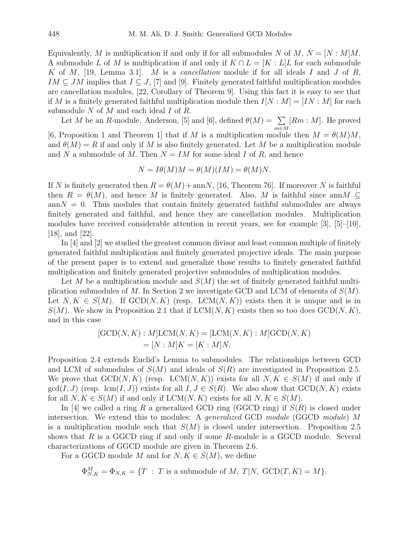Equivalently, M is multiplication if and only if for all submodules N of M,  $N = [N : M]M$ . A submodule L of M is multiplication if and only if  $K \cap L = [K : L]L$  for each submodule K of M, [19, Lemma 3.1]. M is a *cancellation* module if for all ideals I and J of R,  $IM \subseteq JM$  implies that  $I \subseteq J$ , [7] and [9]. Finitely generated faithful multiplication modules are cancellation modules, [22, Corollary of Theorem 9]. Using this fact it is easy to see that if M is a finitely generated faithful multiplication module then  $I[N:M] = [IN:M]$  for each submodule  $N$  of  $M$  and each ideal  $I$  of  $R$ .

Let M be an R-module. Anderson, [5] and [6], defined  $\theta(M) = \sum$ m∈M  $[Rm : M]$ . He proved [6, Proposition 1 and Theorem 1] that if M is a multiplication module then  $M = \theta(M)M$ , and  $\theta(M) = R$  if and only if M is also finitely generated. Let M be a multiplication module and N a submodule of M. Then  $N = IM$  for some ideal I of R, and hence

$$
N = I\theta(M)M = \theta(M)(IM) = \theta(M)N.
$$

If N is finitely generated then  $R = \theta(M) + \text{ann}N$ , [16, Theorem 76]. If moreover N is faithful then  $R = \theta(M)$ , and hence M is finitely generated. Also, M is faithful since annM ⊂  $annN = 0$ . Thus modules that contain finitely generated faithful submodules are always finitely generated and faithful, and hence they are cancellation modules. Multiplication modules have received considerable attention in recent years, see for example [3], [5]–[10], [18], and [22].

In [4] and [2] we studied the greatest common divisor and least common multiple of finitely generated faithful multiplication and finitely generated projective ideals. The main purpose of the present paper is to extend and generalize those results to finitely generated faithful multiplication and finitely generated projective submodules of multiplication modules.

Let M be a multiplication module and  $S(M)$  the set of finitely generated faithful multiplication submodules of M. In Section 2 we investigate GCD and LCM of elements of  $S(M)$ . Let  $N, K \in S(M)$ . If  $GCD(N, K)$  (resp. LCM $(N, K)$ ) exists then it is unique and is in  $S(M)$ . We show in Proposition 2.1 that if  $LCM(N, K)$  exists then so too does  $GCD(N, K)$ , and in this case

$$
[GCD(N, K) : M]LCM(N, K) = [LCM(N, K) : M]GCD(N, K)
$$
  
= [N : M]K = [K : M]N.

Proposition 2.4 extends Euclid's Lemma to submodules. The relationships between GCD and LCM of submodules of  $S(M)$  and ideals of  $S(R)$  are investigated in Proposition 2.5. We prove that  $GCD(N, K)$  (resp.  $LCM(N, K)$ ) exists for all  $N, K \in S(M)$  if and only if  $gcd(I, J)$  (resp. lcm(I, J)) exists for all  $I, J \in S(R)$ . We also show that  $GCD(N, K)$  exists for all  $N, K \in S(M)$  if and only if  $LCM(N, K)$  exists for all  $N, K \in S(M)$ .

In [4] we called a ring R a generalized GCD ring (GGCD ring) if  $S(R)$  is closed under intersection. We extend this to modules: A *generalized* GCD *module* (GGCD *module*) M is a multiplication module such that  $S(M)$  is closed under intersection. Proposition 2.5 shows that  $R$  is a GGCD ring if and only if some  $R$ -module is a GGCD module. Several characterizations of GGCD module are given in Theorem 2.6.

For a GGCD module M and for  $N, K \in S(M)$ , we define

$$
\Phi_{N,K}^M = \Phi_{N,K} = \{T : T \text{ is a submodule of } M, T|N, \text{ GCD}(T,K) = M\}.
$$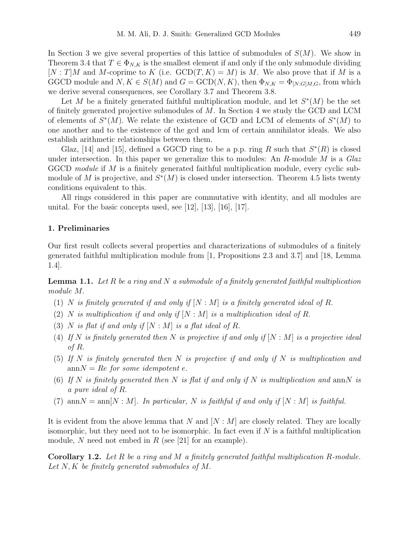In Section 3 we give several properties of this lattice of submodules of  $S(M)$ . We show in Theorem 3.4 that  $T \in \Phi_{N,K}$  is the smallest element if and only if the only submodule dividing  $[N: T]M$  and M-coprime to K (i.e.  $GCD(T, K) = M$ ) is M. We also prove that if M is a GGCD module and  $N, K \in S(M)$  and  $G = \text{GCD}(N, K)$ , then  $\Phi_{N,K} = \Phi_{[N:G|M,G]}$  from which we derive several consequences, see Corollary 3.7 and Theorem 3.8.

Let M be a finitely generated faithful multiplication module, and let  $S^*(M)$  be the set of finitely generated projective submodules of M. In Section 4 we study the GCD and LCM of elements of  $S^*(M)$ . We relate the existence of GCD and LCM of elements of  $S^*(M)$  to one another and to the existence of the gcd and lcm of certain annihilator ideals. We also establish arithmetic relationships between them.

Glaz, [14] and [15], defined a GGCD ring to be a p.p. ring R such that  $S^*(R)$  is closed under intersection. In this paper we generalize this to modules: An R-module M is a *Glaz* GGCD *module* if M is a finitely generated faithful multiplication module, every cyclic submodule of M is projective, and  $S^*(M)$  is closed under intersection. Theorem 4.5 lists twenty conditions equivalent to this.

All rings considered in this paper are commutative with identity, and all modules are unital. For the basic concepts used, see [12], [13], [16], [17].

# 1. Preliminaries

Our first result collects several properties and characterizations of submodules of a finitely generated faithful multiplication module from [1, Propositions 2.3 and 3.7] and [18, Lemma 1.4].

Lemma 1.1. *Let* R *be a ring and* N *a submodule of a finitely generated faithful multiplication module* M.

- (1) N *is finitely generated if and only if* [N : M] *is a finitely generated ideal of* R.
- (2) N *is multiplication if and only if* [N : M] *is a multiplication ideal of* R.
- (3) N *is flat if and only if* [N : M] *is a flat ideal of* R.
- (4) If N is finitely generated then N is projective if and only if  $[N : M]$  is a projective ideal *of* R.
- (5) *If* N *is finitely generated then* N *is projective if and only if* N *is multiplication and*  $\text{ann}N = Re$  *for some idempotent e.*
- (6) *If* N *is finitely generated then* N *is flat if and only if* N *is multiplication and* annN *is a pure ideal of* R.
- (7)  $\text{ann}N = \text{ann}[N : M]$ *. In particular,* N is faithful if and only if  $[N : M]$  is faithful.

It is evident from the above lemma that N and  $[N : M]$  are closely related. They are locally isomorphic, but they need not to be isomorphic. In fact even if  $N$  is a faithful multiplication module, N need not embed in R (see [21] for an example).

Corollary 1.2. *Let* R *be a ring and* M *a finitely generated faithful multiplication* R*-module. Let* N, K *be finitely generated submodules of* M.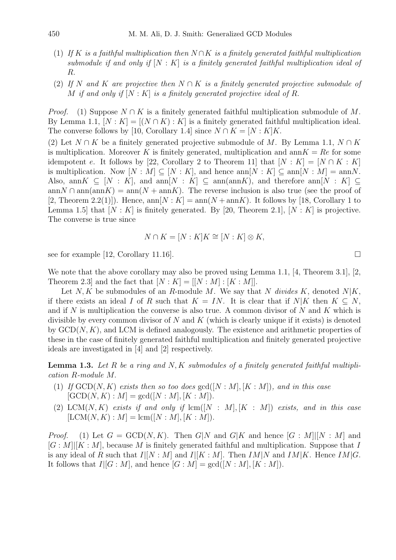- (1) *If* K *is a faithful multiplication then* N ∩K *is a finitely generated faithful multiplication submodule if and only if* [N : K] *is a finitely generated faithful multiplication ideal of* R.
- (2) *If* N *and* K *are projective then* N ∩ K *is a finitely generated projective submodule of* M *if and only if* [N : K] *is a finitely generated projective ideal of* R.

*Proof.* (1) Suppose  $N \cap K$  is a finitely generated faithful multiplication submodule of M. By Lemma 1.1,  $[N: K] = [(N \cap K): K]$  is a finitely generated faithful multiplication ideal. The converse follows by [10, Corollary 1.4] since  $N \cap K = [N : K]K$ .

(2) Let  $N \cap K$  be a finitely generated projective submodule of M. By Lemma 1.1,  $N \cap K$ is multiplication. Moreover K is finitely generated, multiplication and ann  $K = Re$  for some idempotent e. It follows by [22, Corollary 2 to Theorem 11] that  $[N:K] = [N \cap K:K]$ is multiplication. Now  $[N : M] \subset [N : K]$ , and hence  $\text{ann}[N : K] \subset \text{ann}[N : M] = \text{ann}N$ . Also, ann $K \subseteq [N : K]$ , and ann $[N : K] \subseteq$  ann $(\text{ann } K)$ , and therefore ann $[N : K] \subseteq$ ann  $N \cap \text{ann}(\text{ann}K) = \text{ann}(N + \text{ann}K)$ . The reverse inclusion is also true (see the proof of [2, Theorem 2.2(1)]). Hence,  $\text{ann}[N:K] = \text{ann}(N + \text{ann}K)$ . It follows by [18, Corollary 1 to Lemma 1.5 that  $[N: K]$  is finitely generated. By [20, Theorem 2.1],  $[N: K]$  is projective. The converse is true since

$$
N \cap K = [N : K]K \cong [N : K] \otimes K,
$$

see for example [12, Corollary 11.16].

We note that the above corollary may also be proved using Lemma 1.1, [4, Theorem 3.1], [2, Theorem 2.3] and the fact that  $[N:K] = [[N:M]:K:M]].$ 

Let  $N, K$  be submodules of an R-module M. We say that N *divides* K, denoted  $N|K$ , if there exists an ideal I of R such that  $K = IN$ . It is clear that if  $N|K$  then  $K \subseteq N$ , and if N is multiplication the converse is also true. A common divisor of N and K which is divisible by every common divisor of  $N$  and  $K$  (which is clearly unique if it exists) is denoted by  $GCD(N, K)$ , and LCM is defined analogously. The existence and arithmetic properties of these in the case of finitely generated faithful multiplication and finitely generated projective ideals are investigated in [4] and [2] respectively.

Lemma 1.3. *Let* R *be a ring and* N, K *submodules of a finitely generated faithful multiplication* R*-module* M.

- (1) If  $GCD(N, K)$  *exists then so too does*  $gcd([N : M], [K : M])$ *, and in this case*  $[GCD(N, K) : M] = \gcd([N : M], [K : M]).$
- (2) LCM $(N, K)$  *exists if and only if*  $lcm([N : M], [K : M])$  *exists, and in this case*  $[LCM(N, K) : M] = \text{lcm}([N : M], [K : M]).$

*Proof.* (1) Let  $G = \text{GCD}(N, K)$ . Then  $G|N$  and  $G|K$  and hence  $[G : M][N : M]$  and  $[G: M] | [K: M]$ , because M is finitely generated faithful and multiplication. Suppose that I is any ideal of R such that  $I|[N:M]$  and  $I|[K:M]$ . Then  $IM|N$  and  $IM|K$ . Hence  $IM|G$ . It follows that  $I|[G:M]$ , and hence  $[G:M] = \gcd([N:M], [K:M])$ .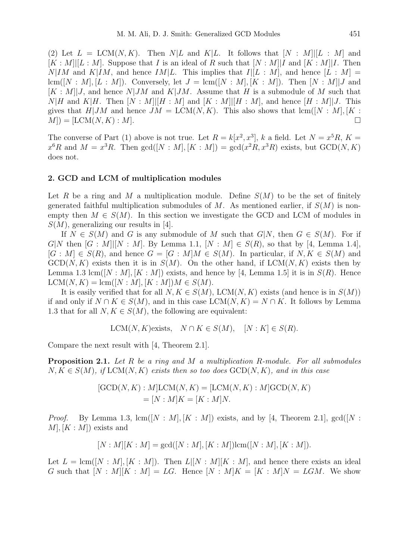(2) Let  $L = LCM(N, K)$ . Then  $N/L$  and  $K/L$ . It follows that  $[N : M][L : M]$  and  $[K: M][L: M]$ . Suppose that I is an ideal of R such that  $[N: M][I]$  and  $[K: M][I]$ . Then  $N|IM$  and  $K|IM$ , and hence  $IM|L$ . This implies that  $I|[L : M]$ , and hence  $[L : M]$  $lcm([N : M], [L : M])$ . Conversely, let  $J = lcm([N : M], [K : M])$ . Then  $[N : M], J$  and  $[K: M]$ , and hence  $N|JM$  and  $K|JM$ . Assume that H is a submodule of M such that  $N|H$  and  $K|H$ . Then  $[N: M][H: M]$  and  $[K: M][H: M]$ , and hence  $[H: M][J]$ . This gives that  $H|JM$  and hence  $JM = LCM(N, K)$ . This also shows that  $lcm([N : M], [K :$  $M$ ) = [LCM(N, K) : M].

The converse of Part (1) above is not true. Let  $R = k[x^2, x^3]$ , k a field. Let  $N = x^5 R$ ,  $K =$  $x^6R$  and  $M = x^3R$ . Then  $gcd([N : M], [K : M]) = gcd(x^2R, x^3R)$  exists, but  $GCD(N, K)$ does not.

#### 2. GCD and LCM of multiplication modules

Let R be a ring and M a multiplication module. Define  $S(M)$  to be the set of finitely generated faithful multiplication submodules of M. As mentioned earlier, if  $S(M)$  is nonempty then  $M \in S(M)$ . In this section we investigate the GCD and LCM of modules in  $S(M)$ , generalizing our results in [4].

If  $N \in S(M)$  and G is any submodule of M such that  $G|N$ , then  $G \in S(M)$ . For if G|N then  $[G : M][N : M]$ . By Lemma 1.1,  $[N : M] \in S(R)$ , so that by [4, Lemma 1.4],  $[G : M] \in S(R)$ , and hence  $G = [G : M]M \in S(M)$ . In particular, if  $N, K \in S(M)$  and  $GCD(N, K)$  exists then it is in  $S(M)$ . On the other hand, if  $LCM(N, K)$  exists then by Lemma 1.3 lcm( $[N : M], [K : M]$ ) exists, and hence by [4, Lemma 1.5] it is in  $S(R)$ . Hence  $LCM(N, K) = \text{lcm}([N : M], [K : M])M \in S(M).$ 

It is easily verified that for all  $N, K \in S(M)$ , LCM $(N, K)$  exists (and hence is in  $S(M)$ ) if and only if  $N \cap K \in S(M)$ , and in this case LCM(N, K) =  $N \cap K$ . It follows by Lemma 1.3 that for all  $N, K \in S(M)$ , the following are equivalent:

$$
LCM(N, K) \text{exists}, \quad N \cap K \in S(M), \quad [N : K] \in S(R).
$$

Compare the next result with [4, Theorem 2.1].

Proposition 2.1. *Let* R *be a ring and* M *a multiplication* R*-module. For all submodules*  $N, K \in S(M)$ , if  $LCM(N, K)$  exists then so too does  $GCD(N, K)$ , and in this case

$$
[GCD(N, K) : M]LCM(N, K) = [LCM(N, K) : M]GCD(N, K)
$$
  
= [N : M]K = [K : M]N.

*Proof.* By Lemma 1.3,  $\text{lcm}([N : M], [K : M])$  exists, and by [4, Theorem 2.1],  $\text{gcd}([N : M])$  $M, [K : M]$  exists and

$$
[N : M][K : M] = \gcd([N : M], [K : M]) \text{lem}([N : M], [K : M]).
$$

Let  $L = \text{lcm}([N : M], [K : M])$ . Then  $L[[N : M], K : M]$ , and hence there exists an ideal G such that  $[N : M][K : M] = LG$ . Hence  $[N : M]K = [K : M]N = LGM$ . We show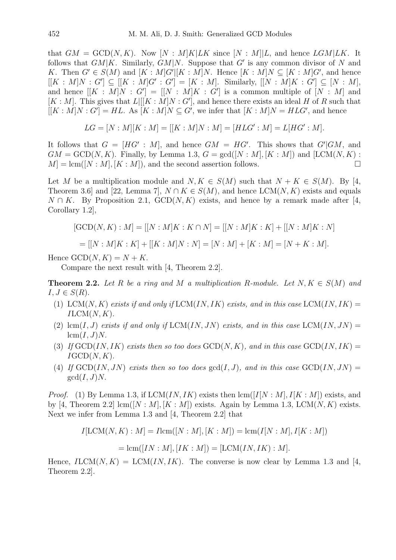that  $GM = \text{GCD}(N, K)$ . Now  $[N : M]K|LK$  since  $[N : M]|L$ , and hence  $LGM|LK$ . It follows that  $GM|K$ . Similarly,  $GM|N$ . Suppose that G' is any common divisor of N and K. Then  $G' \in S(M)$  and  $[K : M]G'||K : M]N$ . Hence  $[K : M]N \subseteq [K : M]G'$ , and hence  $[[K : M]N : G'] \subseteq [[K : M]G' : G'] = [K : M]$ . Similarly,  $[[N : M]K : G'] \subseteq [N : M]$ , and hence  $[[K : M]N : G'] = [[N : M]K : G']$  is a common multiple of  $[N : M]$  and  $[K : M]$ . This gives that  $L[[K : M]N : G']$ , and hence there exists an ideal H of R such that  $[[K:M]N:G']=HL$ . As  $[K:M]N\subseteq G'$ , we infer that  $[K:M]N=HLG'$ , and hence

$$
LG = [N : M][K : M] = [[K : M]N : M] = [HLG' : M] = L[HG' : M].
$$

It follows that  $G = [HG' : M]$ , and hence  $GM = HG'$ . This shows that  $G'|GM$ , and  $GM = \text{GCD}(N, K)$ . Finally, by Lemma 1.3,  $G = \text{gcd}([N : M], [K : M])$  and  $[\text{LCM}(N, K) :$  $M = \text{lcm}([N : M], [K : M])$ , and the second assertion follows.

Let M be a multiplication module and  $N, K \in S(M)$  such that  $N + K \in S(M)$ . By [4, Theorem 3.6] and [22, Lemma 7],  $N \cap K \in S(M)$ , and hence  $LCM(N, K)$  exists and equals  $N \cap K$ . By Proposition 2.1,  $GCD(N, K)$  exists, and hence by a remark made after [4, Corollary 1.2],

$$
[\text{GCD}(N, K) : M] = [[N : M]K : K \cap N] = [[N : M]K : K] + [[N : M]K : N]
$$

$$
= [[N : M]K : K] + [[K : M]N : N] = [N : M] + [K : M] = [N + K : M].
$$

Hence  $GCD(N, K) = N + K$ .

Compare the next result with [4, Theorem 2.2].

**Theorem 2.2.** Let R be a ring and M a multiplication R-module. Let  $N, K \in S(M)$  and  $I, J \in S(R)$ .

- (1) LCM(N, K) exists if and only if  $LCM$ (IN, IK) exists, and in this case  $LCM$ (IN, IK) =  $ILCM(N, K)$ .
- (2)  $\text{lcm}(I, J)$  *exists if and only if*  $\text{LCM}(IN, JN)$  *exists, and in this case*  $\text{LCM}(IN, JN)$  =  $lcm(I, J)N$ .
- (3) If  $GCD(IN, IK)$  *exists then so too does*  $GCD(N, K)$ *, and in this case*  $GCD(IN, IK)$  =  $IGCD(N, K)$ .
- (4) If  $GCD(IN, JN)$  *exists then so too does*  $gcd(I, J)$ *, and in this case*  $GCD(IN, JN) =$  $gcd(I, J)N$ .

*Proof.* (1) By Lemma 1.3, if  $LCM(IN, IK)$  exists then  $lcm([I[N:M], I[K:M])$  exists, and by [4, Theorem 2.2]  $\text{lcm}([N : M], [K : M])$  exists. Again by Lemma 1.3, LCM $(N, K)$  exists. Next we infer from Lemma 1.3 and [4, Theorem 2.2] that

$$
I[\text{LCM}(N, K) : M] = I \text{lcm}([N : M], [K : M]) = \text{lcm}(I[N : M], I[K : M])
$$
  
= 
$$
\text{lcm}([IN : M], [IK : M]) = [\text{LCM}(IN, IK) : M].
$$

Hence,  $ILCM(N, K) = LCM(*IN, IK*)$ . The converse is now clear by Lemma 1.3 and [4, Theorem 2.2].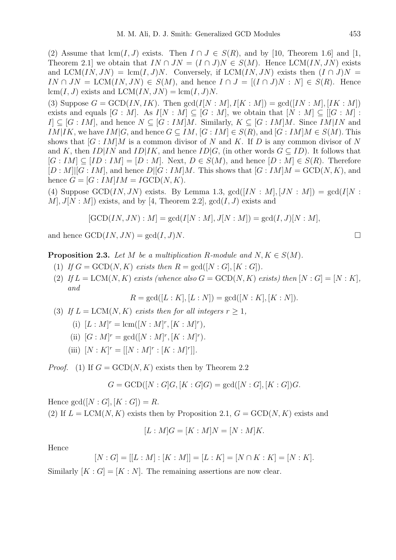(2) Assume that  $\text{lcm}(I, J)$  exists. Then  $I \cap J \in S(R)$ , and by [10, Theorem 1.6] and [1, Theorem 2.1] we obtain that  $IN \cap JN = (I \cap J)N \in S(M)$ . Hence LCM(IN, JN) exists and  $LCM*(IN, JN)* = lcm*(I, J)N*. Conversely, if  $LCM*(IN, JN)*$  exists then  $(I \cap J)N$  =$  $IN \cap JN = \text{LCM}(IN, JN) \in S(M)$ , and hence  $I \cap J = [(I \cap J)N : N] \in S(R)$ . Hence  $lcm(I, J)$  exists and  $LCM(IN, JN) = lcm(I, J)N$ .

(3) Suppose  $G = \text{GCD}(IN, IK)$ . Then  $\text{gcd}(I[N:M], I[K:M]) = \text{gcd}([IN:M], [IK:M])$ exists and equals  $[G : M]$ . As  $I[N : M] \subseteq [G : M]$ , we obtain that  $[N : M] \subseteq [[G : M] :$  $I \subseteq [G : IM]$ , and hence  $N \subseteq [G : IM]M$ . Similarly,  $K \subseteq [G : IM]M$ . Since  $IM|IN$  and IM|IK, we have  $IM|G$ , and hence  $G \subseteq IM$ ,  $[G:IM] \in S(R)$ , and  $[G:IM]M \in S(M)$ . This shows that  $[G:IM|M]$  is a common divisor of N and K. If D is any common divisor of N and K, then  $ID|IN$  and  $ID|IK$ , and hence  $ID|G$ , (in other words  $G \subseteq ID$ ). It follows that  $[G: IM] \subseteq [ID:IM] = [D:M]$ . Next,  $D \in S(M)$ , and hence  $[D:M] \in S(R)$ . Therefore  $[D: M][G: IM]$ , and hence  $D|[G: IM]M$ . This shows that  $[G: IM]M = GCD(N, K)$ , and hence  $G = [G:IM]IM = I\text{GCD}(N, K)$ .

(4) Suppose GCD(IN, JN) exists. By Lemma 1.3,  $gcd([IN : M], [JN : M]) = gcd(I[N : N])$  $M, J[N:M]$ ) exists, and by [4, Theorem 2.2],  $gcd(I, J)$  exists and

$$
[GCD(IN, JN) : M] = gcd(I[N : M], J[N : M]) = gcd(I, J)[N : M],
$$

and hence  $\text{GCD}(IN, JN) = \text{gcd}(I, J)N$ .

**Proposition 2.3.** Let M be a multiplication R-module and  $N, K \in S(M)$ .

- (1) *If*  $G = \text{GCD}(N, K)$  *exists then*  $R = \text{gcd}([N : G], [K : G]).$
- (2) If  $L = LCM(N, K)$  exists (whence also  $G = \text{GCD}(N, K)$  exists) then  $[N : G] = [N : K]$ , *and*

$$
R = \gcd([L:K], [L:N]) = \gcd([N:K], [K:N]).
$$

(3) If  $L = LCM(N, K)$  exists then for all integers  $r \geq 1$ ,

(i)  $[L : M]^r = \text{lcm}([N : M]^r, [K : M]^r),$ 

- (ii)  $[G : M]^r = \gcd([N : M]^r, [K : M]^r)$ .
- (iii)  $[N:K]^r = [[N:M]^r : [K:M]^r]].$

*Proof.* (1) If  $G = \text{GCD}(N, K)$  exists then by Theorem 2.2

$$
G = \text{GCD}([N : G]G, [K : G]G) = \text{gcd}([N : G], [K : G])G.
$$

Hence  $gcd([N : G], [K : G]) = R$ .

(2) If  $L = LCM(N, K)$  exists then by Proposition 2.1,  $G = GCD(N, K)$  exists and

$$
[L:M]G = [K:M]N = [N:M]K.
$$

Hence

$$
[N:G] = [[L:M]: [K:M]] = [L:K] = [N \cap K:K] = [N:K].
$$

Similarly  $[K : G] = [K : N]$ . The remaining assertions are now clear.

$$
\qquad \qquad \Box
$$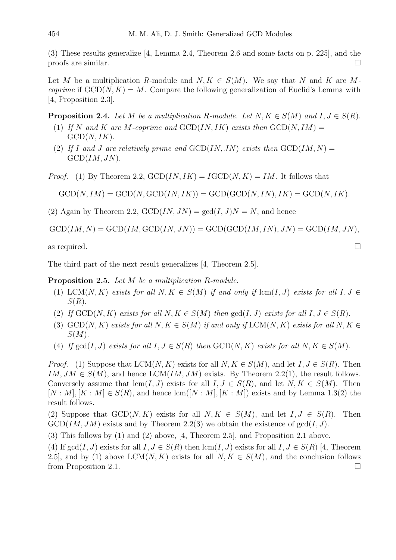(3) These results generalize [4, Lemma 2.4, Theorem 2.6 and some facts on p. 225], and the proofs are similar.

Let M be a multiplication R-module and  $N, K \in S(M)$ . We say that N and K are M*coprime* if  $GCD(N, K) = M$ . Compare the following generalization of Euclid's Lemma with [4, Proposition 2.3].

**Proposition 2.4.** *Let* M *be a multiplication* R-module. Let  $N, K \in S(M)$  and  $I, J \in S(R)$ .

- (1) If N and K are M-coprime and  $GCD(IN, IK)$  exists then  $GCD(N, IM)$  $GCD(N, IK).$
- (2) If I and J are relatively prime and  $GCD(IN, JN)$  exists then  $GCD(IM, N)$  =  $GCD(IM, JN)$ .
- *Proof.* (1) By Theorem 2.2,  $GCD*IN, IK*$  =  $IGCD*N, K*$  =  $IM$ . It follows that

 $GCD(N, IM) = GCD(N, GCD(IN, IK)) = GCD(GCD(N, IN), IK) = GCD(N, IK).$ 

(2) Again by Theorem 2.2,  $GCD(IN, JN) = \gcd(I, J)N = N$ , and hence

 $GCD(IM, N) = GCD(IM, GCD(IN, JN)) = GCD(GCD(IM, IN), JN) = GCD(IM, JN),$ 

as required.  $\square$ 

The third part of the next result generalizes [4, Theorem 2.5].

Proposition 2.5. *Let* M *be a multiplication* R*-module.*

- (1) LCM(N, K) *exists for all*  $N, K \in S(M)$  *if and only if* lcm(I, J) *exists for all*  $I, J \in$  $S(R)$ .
- (2) *If*  $GCD(N, K)$  *exists for all*  $N, K \in S(M)$  *then*  $gcd(I, J)$  *exists for all*  $I, J \in S(R)$ .
- (3)  $GCD(N, K)$  *exists for all*  $N, K \in S(M)$  *if and only if*  $LCM(N, K)$  *exists for all*  $N, K \in$  $S(M).$
- (4) *If*  $gcd(I, J)$  *exists for all*  $I, J \in S(R)$  *then*  $GCD(N, K)$  *exists for all*  $N, K \in S(M)$ .

*Proof.* (1) Suppose that  $LCM(N, K)$  exists for all  $N, K \in S(M)$ , and let  $I, J \in S(R)$ . Then IM,  $JM \in S(M)$ , and hence  $LCM(IM, JM)$  exists. By Theorem 2.2(1), the result follows. Conversely assume that  $lcm(I, J)$  exists for all  $I, J \in S(R)$ , and let  $N, K \in S(M)$ . Then  $[N : M], [K : M] \in S(R)$ , and hence  $lcm([N : M], [K : M])$  exists and by Lemma 1.3(2) the result follows.

(2) Suppose that  $GCD(N, K)$  exists for all  $N, K \in S(M)$ , and let  $I, J \in S(R)$ . Then  $GCD(IM, JM)$  exists and by Theorem 2.2(3) we obtain the existence of  $gcd(I, J)$ .

(3) This follows by (1) and (2) above, [4, Theorem 2.5], and Proposition 2.1 above.

(4) If  $gcd(I, J)$  exists for all  $I, J \in S(R)$  then  $lcm(I, J)$  exists for all  $I, J \in S(R)$  [4, Theorem 2.5], and by (1) above  $LCM(N, K)$  exists for all  $N, K \in S(M)$ , and the conclusion follows from Proposition 2.1.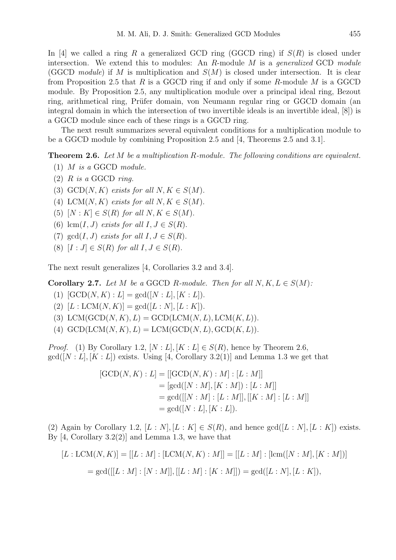In [4] we called a ring R a generalized GCD ring (GGCD ring) if  $S(R)$  is closed under intersection. We extend this to modules: An R-module M is a *generalized* GCD *module* (GGCD *module*) if M is multiplication and  $S(M)$  is closed under intersection. It is clear from Proposition 2.5 that  $R$  is a GGCD ring if and only if some  $R$ -module  $M$  is a GGCD module. By Proposition 2.5, any multiplication module over a principal ideal ring, Bezout ring, arithmetical ring, Prüfer domain, von Neumann regular ring or GGCD domain (an integral domain in which the intersection of two invertible ideals is an invertible ideal, [8]) is a GGCD module since each of these rings is a GGCD ring.

The next result summarizes several equivalent conditions for a multiplication module to be a GGCD module by combining Proposition 2.5 and [4, Theorems 2.5 and 3.1].

Theorem 2.6. *Let* M *be a multiplication* R*-module. The following conditions are equivalent.*

- (1) M *is a* GGCD *module.*
- (2) R *is a* GGCD *ring.*
- (3)  $GCD(N, K)$  *exists for all*  $N, K \in S(M)$ .
- (4) LCM(N, K) *exists for all*  $N, K \in S(M)$ .
- (5)  $[N:K] \in S(R)$  *for all*  $N, K \in S(M)$ .
- (6)  $\text{lcm}(I, J)$  *exists for all*  $I, J \in S(R)$ .
- (7)  $gcd(I, J)$  *exists for all*  $I, J \in S(R)$ .
- (8)  $[I : J] \in S(R)$  *for all*  $I, J \in S(R)$ .

The next result generalizes [4, Corollaries 3.2 and 3.4].

**Corollary 2.7.** *Let*  $M$  *be a* GGCD  $R$ *-module. Then for all*  $N, K, L \in S(M)$ *:* 

- (1)  $[GCD(N, K) : L] = \gcd([N : L], [K : L]).$
- (2)  $[L : LCM(N, K)] = \gcd([L : N], [L : K]).$
- (3) LCM(GCD $(N, K), L$ ) = GCD(LCM $(N, L)$ , LCM $(K, L)$ ).
- (4)  $GCD(LCM(N, K), L) = LCM(GCD(N, L), GCD(K, L)).$

*Proof.* (1) By Corollary 1.2,  $[N: L], [K: L] \in S(R)$ , hence by Theorem 2.6,  $gcd([N: L], [K: L])$  exists. Using [4, Corollary 3.2(1)] and Lemma 1.3 we get that

$$
[GCD(N, K) : L] = [[GCD(N, K) : M] : [L : M]]
$$
  
= [gcd([N : M], [K : M]) : [L : M]]  
= gcd([[N : M] : [L : M]], [[K : M] : [L : M]]  
= gcd([N : L], [K : L]).

(2) Again by Corollary 1.2,  $[L : N], [L : K] \in S(R)$ , and hence  $gcd([L : N], [L : K])$  exists. By  $[4, Corollary 3.2(2)]$  and Lemma 1.3, we have that

$$
[L: LCM(N, K)] = [[L:M] : [LCM(N, K) : M]] = [[L:M] : [lem([N : M], [K : M])]
$$
  
= gcd([[L : M] : [N : M]], [[L : M] : [K : M]]) = gcd([L : N], [L : K]),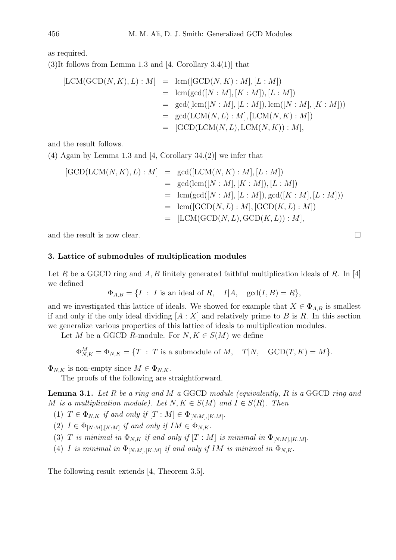as required.

(3)It follows from Lemma 1.3 and [4, Corollary 3.4(1)] that

$$
[LCM(GCD(N, K), L) : M] = \text{lcm}([GCD(N, K) : M], [L : M])
$$
  
\n
$$
= \text{lcm}(\text{gcd}([N : M], [K : M]), [L : M])
$$
  
\n
$$
= \text{gcd}([\text{lcm}([N : M], [L : M]), \text{lcm}([N : M], [K : M]))
$$
  
\n
$$
= \text{gcd}(\text{LCM}(N, L) : M], [\text{LCM}(N, K) : M])
$$
  
\n
$$
= [\text{GCD}(\text{LCM}(N, L), \text{LCM}(N, K)) : M],
$$

and the result follows.

(4) Again by Lemma 1.3 and [4, Corollary 34.(2)] we infer that

$$
[GCD(LCM(N, K), L) : M] = gcd([LCM(N, K) : M], [L : M])
$$
  
\n
$$
= gcd(lcm([N : M], [K : M]), [L : M])
$$
  
\n
$$
= lcm(gcd([N : M], [L : M]), gcd([K : M], [L : M]))
$$
  
\n
$$
= lcm([GCD(N, L) : M], [GCD(K, L) : M])
$$
  
\n
$$
= [LCM(GCD(N, L), GCD(K, L)) : M],
$$

and the result is now clear.  $\Box$ 

## 3. Lattice of submodules of multiplication modules

Let R be a GGCD ring and A, B finitely generated faithful multiplication ideals of R. In [4] we defined

 $\Phi_{A,B} = \{I : I \text{ is an ideal of } R, \quad I|A, \quad \gcd(I,B) = R\},\$ 

and we investigated this lattice of ideals. We showed for example that  $X \in \Phi_{A,B}$  is smallest if and only if the only ideal dividing  $[A : X]$  and relatively prime to B is R. In this section we generalize various properties of this lattice of ideals to multiplication modules.

Let M be a GGCD R-module. For  $N, K \in S(M)$  we define

$$
\Phi_{N,K}^M = \Phi_{N,K} = \{T : T \text{ is a submodule of } M, \quad T|N, \quad \text{GCD}(T,K) = M\}.
$$

 $\Phi_{N,K}$  is non-empty since  $M \in \Phi_{N,K}$ .

The proofs of the following are straightforward.

Lemma 3.1. *Let* R *be a ring and* M *a* GGCD *module (equivalently,* R *is a* GGCD *ring and* M is a multiplication module). Let  $N, K \in S(M)$  and  $I \in S(R)$ . Then

(1)  $T \in \Phi_{N,K}$  *if and only if*  $[T : M] \in \Phi_{[N:M], [K:M]}$ .

(2)  $I \in \Phi_{[N:M], [K:M]}$  if and only if  $IM \in \Phi_{N,K}$ .

(3) T *is minimal in*  $\Phi_{N,K}$  *if and only if*  $[T : M]$  *is minimal in*  $\Phi_{[N:M],[K:M]}$ .

(4) *I* is minimal in  $\Phi_{[N:M],[K:M]}$  if and only if IM is minimal in  $\Phi_{N,K}$ .

The following result extends [4, Theorem 3.5].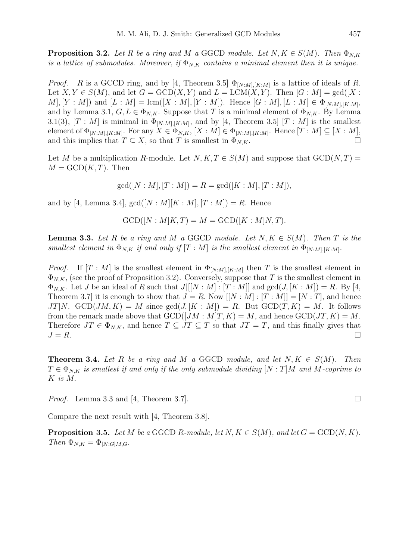**Proposition 3.2.** Let R be a ring and M a GGCD module. Let  $N, K \in S(M)$ . Then  $\Phi_{N,K}$ *is a lattice of submodules. Moreover, if*  $\Phi_{N,K}$  *contains a minimal element then it is unique.* 

*Proof.* R is a GCCD ring, and by [4, Theorem 3.5]  $\Phi_{[N:M],[K:M]}$  is a lattice of ideals of R. Let  $X, Y \in S(M)$ , and let  $G = \text{GCD}(X, Y)$  and  $L = \text{LCM}(X, Y)$ . Then  $[G : M] = \text{gcd}([X : K])$  $[M], [Y : M])$  and  $[L : M] = \text{lcm}([X : M], [Y : M])$ . Hence  $[G : M], [L : M] \in \Phi_{[N:M], [K:M]},$ and by Lemma 3.1,  $G, L \in \Phi_{N,K}$ . Suppose that T is a minimal element of  $\Phi_{N,K}$ . By Lemma 3.1(3),  $[T : M]$  is minimal in  $\Phi_{[N:M],[K:M]}$ , and by [4, Theorem 3.5]  $[T : M]$  is the smallest element of  $\Phi_{[N:M],[K:M]}$ . For any  $X \in \Phi_{N,K}$ ,  $[X:M] \in \Phi_{[N:M],[K:M]}$ . Hence  $[T:M] \subseteq [X:M]$ , and this implies that  $T \subseteq X$ , so that T is smallest in  $\Phi_{N,K}$ .

Let M be a multiplication R-module. Let  $N, K, T \in S(M)$  and suppose that  $GCD(N, T) =$  $M = GCD(K,T)$ . Then

 $gcd([N : M], [T : M]) = R = gcd([K : M], [T : M]),$ 

and by [4, Lemma 3.4],  $gcd([N : M][K : M], [T : M]) = R$ . Hence

$$
GCD([N : M]K, T) = M = GCD([K : M]N, T).
$$

**Lemma 3.3.** Let R be a ring and M a GGCD module. Let  $N, K \in S(M)$ . Then T is the *smallest element in*  $\Phi_{N,K}$  *if and only if*  $[T : M]$  *is the smallest element in*  $\Phi_{[N:M],[K:M]}$ .

*Proof.* If  $[T : M]$  is the smallest element in  $\Phi_{[N:M],[K:M]}$  then T is the smallest element in  $\Phi_{N,K}$ , (see the proof of Proposition 3.2). Conversely, suppose that T is the smallest element in  $\Phi_{N,K}$ . Let J be an ideal of R such that  $J|[N:M]: [T:M]|$  and  $gcd(J,[K:M]) = R$ . By [4, Theorem 3.7 it is enough to show that  $J = R$ . Now  $[[N : M] : [T : M]] = [N : T]$ , and hence  $JT|N$ .  $GCD(JM, K) = M$  since  $gcd(J, [K : M]) = R$ . But  $GCD(T, K) = M$ . It follows from the remark made above that  $GCD([JM : M]T, K) = M$ , and hence  $GCD(JT, K) = M$ . Therefore  $JT \in \Phi_{N,K}$ , and hence  $T \subseteq JT \subseteq T$  so that  $JT = T$ , and this finally gives that  $J = R$ .

**Theorem 3.4.** Let R be a ring and M a GGCD module, and let  $N, K \in S(M)$ . Then  $T \in \Phi_{N,K}$  *is smallest if and only if the only submodule dividing*  $[N : T]M$  *and* M-coprime to K *is* M.

*Proof.* Lemma 3.3 and [4, Theorem 3.7].

Compare the next result with [4, Theorem 3.8].

**Proposition 3.5.** *Let*  $M$  *be a* GGCD  $R$ *-module, let*  $N, K \in S(M)$ *, and let*  $G = \text{GCD}(N, K)$ *. Then*  $\Phi_{N,K} = \Phi_{[N:G]M,G}.$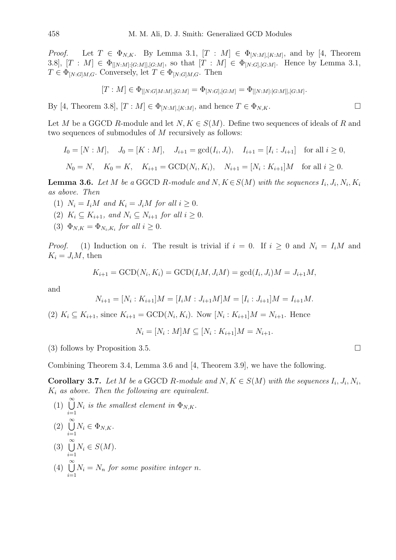*Proof.* Let  $T \in \Phi_{N,K}$ . By Lemma 3.1,  $[T : M] \in \Phi_{[N:M],[K:M]}$ , and by [4, Theorem 3.8],  $[T : M] \in \Phi_{[[N:M]:[G:M]],[G:M]}$ , so that  $[T : M] \in \Phi_{[N:G],[G:M]}$ . Hence by Lemma 3.1,  $T \in \Phi_{[N:G]M,G}$ . Conversely, let  $T \in \Phi_{[N:G]M,G}$ . Then

$$
[T: M] \in \Phi_{[[N:G]M:M],[G:M]} = \Phi_{[N:G],[G:M]} = \Phi_{[[N:M]:[G:M]],[G:M]}.
$$

By [4, Theorem 3.8],  $[T : M] \in \Phi_{[N:M], [K:M]}$ , and hence  $T \in \Phi_{N,K}$ .

Let M be a GGCD R-module and let  $N, K \in S(M)$ . Define two sequences of ideals of R and two sequences of submodules of M recursively as follows:

$$
I_0 = [N : M], \quad J_0 = [K : M], \quad J_{i+1} = \gcd(I_i, J_i), \quad I_{i+1} = [I_i : J_{i+1}] \quad \text{for all } i \ge 0,
$$
  

$$
N_0 = N, \quad K_0 = K, \quad K_{i+1} = \text{GCD}(N_i, K_i), \quad N_{i+1} = [N_i : K_{i+1}]M \quad \text{for all } i \ge 0.
$$

**Lemma 3.6.** Let M be a GGCD R-module and N, 
$$
K \in S(M)
$$
 with the sequences  $I_i$ ,  $J_i$ ,  $N_i$ ,  $K_i$  as above. Then

- (1)  $N_i = I_i M$  and  $K_i = J_i M$  for all  $i \geq 0$ .
- (2)  $K_i \subseteq K_{i+1}$ , and  $N_i \subseteq N_{i+1}$  for all  $i \geq 0$ .
- (3)  $\Phi_{N,K} = \Phi_{N_i,K_i}$  for all  $i \geq 0$ .

*Proof.* (1) Induction on i. The result is trivial if  $i = 0$ . If  $i \geq 0$  and  $N_i = I_i M$  and  $K_i = J_i M$ , then

$$
K_{i+1} = \text{GCD}(N_i, K_i) = \text{GCD}(I_iM, J_iM) = \text{gcd}(I_i, J_i)M = J_{i+1}M,
$$

and

$$
N_{i+1} = [N_i : K_{i+1}]M = [I_i M : J_{i+1} M]M = [I_i : J_{i+1}]M = I_{i+1}M.
$$

(2)  $K_i \subseteq K_{i+1}$ , since  $K_{i+1} = \text{GCD}(N_i, K_i)$ . Now  $[N_i : K_{i+1}]M = N_{i+1}$ . Hence

$$
N_i = [N_i : M]M \subseteq [N_i : K_{i+1}]M = N_{i+1}.
$$

(3) follows by Proposition 3.5.

Combining Theorem 3.4, Lemma 3.6 and [4, Theorem 3.9], we have the following.

**Corollary 3.7.** Let M be a GGCD R-module and  $N, K \in S(M)$  with the sequences  $I_i, J_i, N_i$ , K<sup>i</sup> *as above. Then the following are equivalent.*

(1)  $\bigcup^{\infty}$  $i=1$  $N_i$  *is the smallest element in*  $\Phi_{N,K}$ .  $(2) \cup^{\infty}$  $i=1$  $N_i \in \Phi_{N,K}.$  $(3) \cup$  $i=1$  $N_i \in S(M)$ .  $(4) \cup^{\infty}$  $i=1$  $N_i = N_n$  for some positive integer n.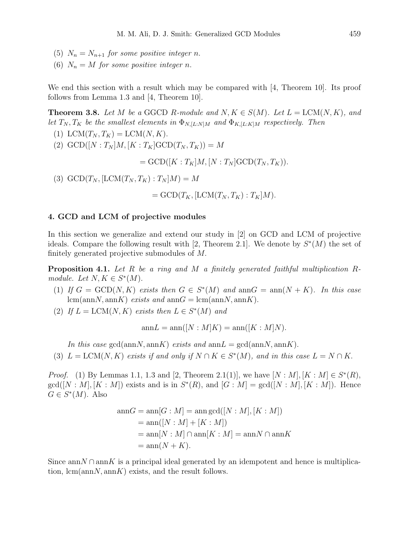- (5)  $N_n = N_{n+1}$  *for some positive integer n.*
- (6)  $N_n = M$  *for some positive integer n.*

We end this section with a result which may be compared with [4, Theorem 10]. Its proof follows from Lemma 1.3 and [4, Theorem 10].

**Theorem 3.8.** Let M be a GGCD R-module and  $N, K \in S(M)$ . Let  $L = LCM(N, K)$ , and *let*  $T_N, T_K$  *be the smallest elements in*  $\Phi_{N,[L:N]M}$  *and*  $\Phi_{K,[L:K]M}$  *respectively. Then* 

- (1) LCM $(T_N, T_K) =$  LCM $(N, K)$ .
- (2)  $GCD([N : T_N]M, [K : T_K]GCD(T_N, T_K)) = M$

 $=\text{GCD}([K: T_K]M, [N: T_N]\text{GCD}(T_N, T_K)).$ 

(3)  $GCD(T_N, [LCM(T_N, T_K) : T_N|M] = M$ 

$$
= GCD(T_K, [LCM(T_N, T_K) : T_K]M).
$$

## 4. GCD and LCM of projective modules

In this section we generalize and extend our study in [2] on GCD and LCM of projective ideals. Compare the following result with [2, Theorem 2.1]. We denote by  $S^*(M)$  the set of finitely generated projective submodules of M.

Proposition 4.1. *Let* R *be a ring and* M *a finitely generated faithful multiplication* R*module.* Let  $N, K \in S^*(M)$ .

- (1) If  $G = \text{GCD}(N, K)$  exists then  $G \in S^*(M)$  and  $\text{ann } G = \text{ann}(N + K)$ *. In this case*  $lcm(annN, annK)$  *exists and* ann $G = lcm(annN, annK)$ .
- (2) If  $L = \text{LCM}(N, K)$  exists then  $L \in S^*(M)$  and

$$
\operatorname{ann} L = \operatorname{ann} ([N : M] K) = \operatorname{ann} ([K : M] N).
$$

*In this case* gcd(annN, annK) *exists and* ann $L = \text{gcd}(\text{annN}, \text{annK})$ .

(3) 
$$
L = LCM(N, K)
$$
 exists if and only if  $N \cap K \in S^*(M)$ , and in this case  $L = N \cap K$ .

*Proof.* (1) By Lemmas 1.1, 1.3 and [2, Theorem 2.1(1)], we have  $[N : M], [K : M] \in S^*(R)$ ,  $gcd([N : M], [K : M])$  exists and is in  $S^*(R)$ , and  $[G : M] = gcd([N : M], [K : M])$ . Hence  $G \in S^*(M)$ . Also

$$
annG = ann[G : M] = ann gcd([N : M], [K : M])
$$
  
= ann([N : M] + [K : M])  
= ann[N : M] ∩ ann[K : M] = annN ∩ annK  
= ann(N + K).

Since ann  $N \cap \text{ann } K$  is a principal ideal generated by an idempotent and hence is multiplication,  $\text{lcm}(\text{ann}N, \text{ann}K)$  exists, and the result follows.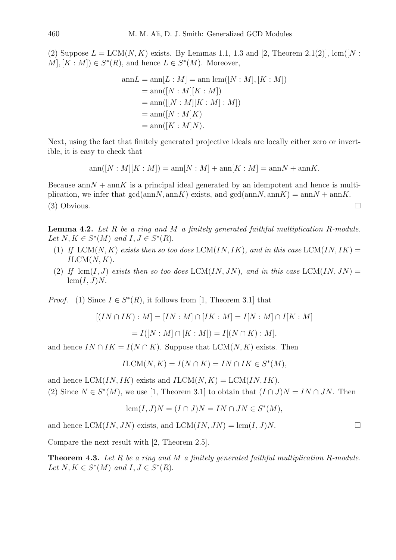(2) Suppose  $L = LCM(N, K)$  exists. By Lemmas 1.1, 1.3 and [2, Theorem 2.1(2)], lcm([N :  $M$ ,  $[K : M]$ )  $\in S^*(R)$ , and hence  $L \in S^*(M)$ . Moreover,

$$
annL = ann[L : M] = ann lcm([N : M], [K : M])
$$
  
= ann([N : M][K : M])  
= ann([[N : M][K : M] : M])  
= ann([N : M]K)  
= ann([K : M]N).

Next, using the fact that finitely generated projective ideals are locally either zero or invertible, it is easy to check that

$$
ann([N : M][K : M]) = ann[N : M] + ann[K : M] = annN + annK.
$$

Because  $\text{ann}N + \text{ann}K$  is a principal ideal generated by an idempotent and hence is multiplication, we infer that  $gcd(annN, annK)$  exists, and  $gcd(annN, annK) = annN + annK$ . (3) Obvious.

Lemma 4.2. *Let* R *be a ring and* M *a finitely generated faithful multiplication* R*-module.* Let  $N, K \in S^*(M)$  and  $I, J \in S^*(R)$ .

- (1) If  $LCM(N, K)$  *exists then so too does*  $LCM(IN, IK)$ *, and in this case*  $LCM(IN, IK)$  =  $ILCM(N, K)$ .
- (2) If  $\text{ lcm}(I, J)$  *exists then so too does* LCM(IN, JN), and in this case LCM(IN, JN) =  $lcm(I, J)N.$

*Proof.* (1) Since  $I \in S^*(R)$ , it follows from [1, Theorem 3.1] that

$$
[(IN \cap IK) : M] = [IN : M] \cap [IK : M] = I[N : M] \cap I[K : M]
$$

$$
= I([N : M] \cap [K : M]) = I[(N \cap K) : M],
$$

and hence  $IN \cap IK = I(N \cap K)$ . Suppose that  $LCM(N, K)$  exists. Then

$$
ILCM(N, K) = I(N \cap K) = IN \cap IK \in S^*(M),
$$

and hence  $LCM(IN, IK)$  exists and  $ILCM(N, K) = LCM(IN, IK)$ .

(2) Since  $N \in S^*(M)$ , we use [1, Theorem 3.1] to obtain that  $(I \cap J)N = IN \cap JN$ . Then

$$
lcm(I, J)N = (I \cap J)N = IN \cap JN \in S^*(M),
$$

and hence  $LCM(IN, JN)$  exists, and  $LCM(IN, JN) = \text{lcm}(I, J)N$ .

Compare the next result with [2, Theorem 2.5].

Theorem 4.3. *Let* R *be a ring and* M *a finitely generated faithful multiplication* R*-module.* Let  $N, K \in S^*(M)$  and  $I, J \in S^*(R)$ .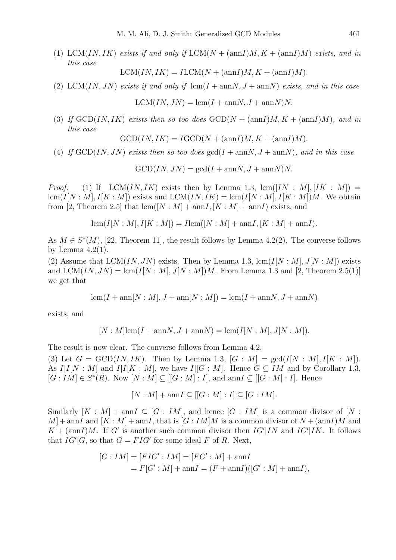(1) LCM(IN, IK) *exists if and only if*  $LCM(N + (annI)M, K + (annI)M)$  *exists, and in this case*

$$
LCM(IN, IK) = ILCM(N + (annI)M, K + (annI)M).
$$

(2) LCM(IN, JN) exists if and only if  $lcm(I + annN, J + annN)$  exists, and in this case

 $LCM(IN, JN) = \text{lcm}(I + \text{ann}N, J + \text{ann}N)N.$ 

(3) If  $GCD*IN, IK*$  *exists then so too does*  $GCD*N* + (annI)*M*, *K* + (annI)*M*$ *, and in this case*

$$
GCDIN, IK = IGCD(N + (annI)M, K + (annI)M).
$$

(4) If  $GCD(IN, JN)$  *exists then so too does*  $gcd(I + annN, J + annN)$ *, and in this case* 

 $GCD(IN, JN) = \gcd(I + \text{ann}N, J + \text{ann}N)N.$ 

*Proof.* (1) If LCM(IN, IK) exists then by Lemma 1.3,  $\text{lcm}([IN: M], [IK: M])$  $lcm(I[N:M], I[K:M])$  exists and  $LCM(IN, IK) = lcm(I[N:M], I[K:M])M$ . We obtain from [2, Theorem 2.5] that  $lcm([N : M] + amnI, [K : M] + amnI)$  exists, and

$$
lcm(I[N:M], I[K:M]) = Ilcm([N:M] + ann I, [K:M] + ann I).
$$

As  $M \in S^*(M)$ , [22, Theorem 11], the result follows by Lemma 4.2(2). The converse follows by Lemma  $4.2(1)$ .

(2) Assume that  $LCM(IN, JN)$  exists. Then by Lemma 1.3,  $lcm(I[N: M], J[N: M])$  exists and  $LCM(IN, JN) = \text{lcm}(I[N:M], J[N:M])M$ . From Lemma 1.3 and [2, Theorem 2.5(1)] we get that

$$
lcm(I + ann[N: M], J + ann[N: M]) = lcm(I + annN, J + annN)
$$

exists, and

$$
[N : M] \text{lcm}(I + \text{ann}N, J + \text{ann}N) = \text{lcm}(I[N : M], J[N : M]).
$$

The result is now clear. The converse follows from Lemma 4.2.

(3) Let  $G = \text{GCD}(IN, IK)$ . Then by Lemma 1.3,  $[G : M] = \text{gcd}(I[N : M], I[K : M])$ . As  $I|I[N:M]$  and  $I|I[K:M]$ , we have  $I|[G:M]$ . Hence  $G\subseteq IM$  and by Corollary 1.3,  $[G: IM] \in S^*(R)$ . Now  $[N: M] \subseteq [[G:M]:I]$ , and ann $I \subseteq [[G:M]:I]$ . Hence

$$
[N:M] + \text{ann} I \subseteq [[G:M]:I] \subseteq [G:IM].
$$

Similarly  $[K : M] + \text{ann } I \subseteq [G : IM]$ , and hence  $[G : IM]$  is a common divisor of  $[N : I]$  $M$  + annI and  $[K : M]$  + annI, that is  $[G : IM]M$  is a common divisor of  $N + (annI)M$  and  $K + \frac{\text{ann}l}{M}$ . If G' is another such common divisor then  $IG'|IN$  and  $IG'|IK$ . It follows that  $IG'|G$ , so that  $G = FIG'$  for some ideal F of R. Next,

$$
[G:IM] = [FIG':IM] = [FG':M] + \text{ann}I
$$
  
=  $F[G':M] + \text{ann}I = (F + \text{ann}I)([G':M] + \text{ann}I),$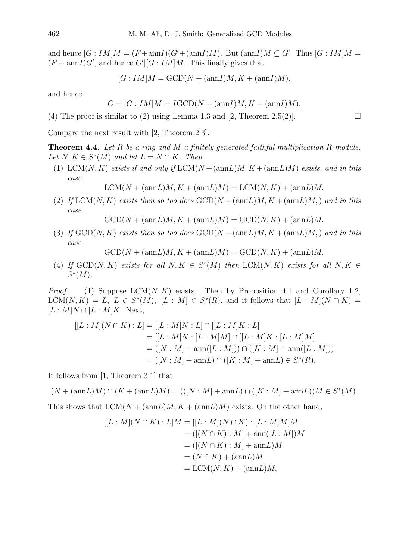and hence  $[G:IM|M = (F + \text{ann}I)(G' + (\text{ann}I)M)$ . But  $(\text{ann}I)M \subseteq G'$ . Thus  $[G:IM|M =$  $(F + \text{ann}I)G'$ , and hence  $G'[[G:IM]M]$ . This finally gives that

$$
[G:IM]M = \text{GCD}(N + (\text{ann}I)M, K + (\text{ann}I)M),
$$

and hence

$$
G = [G:IM]M = IGCD(N + (annI)M, K + (annI)M).
$$

(4) The proof is similar to (2) using Lemma 1.3 and [2, Theorem 2.5(2)].

Compare the next result with [2, Theorem 2.3].

Theorem 4.4. *Let* R *be a ring and* M *a finitely generated faithful multiplication* R*-module.* Let  $N, K \in S^*(M)$  and let  $L = N \cap K$ . Then

(1) LCM(N, K) exists if and only if  $LCM(N + (annL)M, K + (annL)M)$  exists, and in this *case*

 $LCM(N + (annL)M, K + (annL)M) = LCM(N, K) + (annL)M.$ 

(2) If  $LCM(N, K)$  *exists then so too does*  $GCD(N + (annL)M, K + (annL)M)$  *and in this case*

 $GCD(N + (annL)M, K + (annL)M) = GCD(N, K) + (annL)M.$ 

(3) *If*  $GCD(N, K)$  *exists then so too does*  $GCD(N + (annL)M, K + (annL)M)$  *and in this case*

 $GCD(N + (annL)M, K + (annL)M) = GCD(N, K) + (annL)M.$ 

(4) If  $GCD(N, K)$  exists for all  $N, K \in S^*(M)$  then  $LCM(N, K)$  exists for all  $N, K \in$  $S^*(M)$ .

*Proof.* (1) Suppose  $LCM(N, K)$  exists. Then by Proposition 4.1 and Corollary 1.2,  $LCM(N, K) = L$ ,  $L \in S^*(M)$ ,  $[L : M] \in S^*(R)$ , and it follows that  $[L : M](N \cap K) =$  $[L : M]N \cap [L : M]K$ . Next,

$$
[[L:M](N \cap K) : L] = [[L:M]N : L] \cap [[L:M]K : L]
$$
  
= [[L:M]N : [L:M]M] \cap [[L:M]K : [L:M]M]  
= ([N:M] + ann([L:M])) \cap ([K:M] + ann([L:M]))  
= ([N:M] + annL) \cap ([K:M] + annL) \in S<sup>\*</sup>(R).

It follows from [1, Theorem 3.1] that

 $(N + (annL)M) \cap (K + (annL)M) = (((N : M) + annL) \cap ([K : M] + annL))M \in S^*(M).$ 

This shows that  $LCM(N + (annL)M, K + (annL)M)$  exists. On the other hand,

$$
[[L : M](N \cap K) : L]M = [[L : M](N \cap K) : [L : M]M]M
$$
  
= 
$$
([(N \cap K) : M] + \text{ann}([L : M])M
$$
  
= 
$$
([(N \cap K) : M] + \text{ann}L)M
$$
  
= 
$$
(N \cap K) + (\text{ann}L)M
$$
  
= 
$$
LCM(N, K) + (\text{ann}L)M,
$$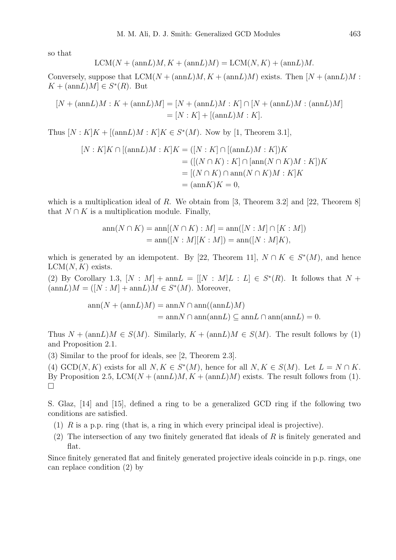so that

$$
LCM(N + (annL)M, K + (annL)M) = LCM(N, K) + (annL)M.
$$

Conversely, suppose that  $LCM(N + (annL)M, K + (annL)M)$  exists. Then  $[N + (annL)M :$  $K + (annL)M \in S^*(R)$ . But

$$
[N + (annL)M : K + (annL)M] = [N + (annL)M : K] \cap [N + (annL)M : (annL)M]
$$
  
= [N : K] + [(annL)M : K].

Thus  $[N:K]K + [(\text{ann}L)M:K]K \in S^*(M)$ . Now by [1, Theorem 3.1],

$$
[N:K]K \cap [(\text{ann}L)M:K]K = ([N:K] \cap [(\text{ann}L)M:K])K
$$
  

$$
= ([(N \cap K):K] \cap [\text{ann}(N \cap K)M:K])K
$$
  

$$
= [(N \cap K) \cap \text{ann}(N \cap K)M:K]K
$$
  

$$
= (\text{ann}K)K = 0,
$$

which is a multiplication ideal of R. We obtain from [3, Theorem 3.2] and [22, Theorem 8] that  $N \cap K$  is a multiplication module. Finally,

$$
ann(N \cap K) = ann[(N \cap K) : M] = ann([N : M] \cap [K : M])
$$
  
=  $ann([N : M][K : M]) = ann([N : M]K),$ 

which is generated by an idempotent. By [22, Theorem 11],  $N \cap K \in S^*(M)$ , and hence  $LCM(N, K)$  exists.

(2) By Corollary 1.3,  $[N : M] + \text{ann}L = [[N : M]L : L] \in S^*(R)$ . It follows that  $N +$  $(\text{ann}L)M = ([N : M] + \text{ann}L)M \in S^*(M)$ . Moreover,

$$
ann(N + (annL)M) = annN \cap ann((annL)M)
$$
  
= annN \cap ann(annL)  $\subseteq annL \cap ann(annL) = 0$ .

Thus  $N + (\text{ann}L)M \in S(M)$ . Similarly,  $K + (\text{ann}L)M \in S(M)$ . The result follows by (1) and Proposition 2.1.

(3) Similar to the proof for ideals, see [2, Theorem 2.3].

(4) GCD(N, K) exists for all  $N, K \in S^*(M)$ , hence for all  $N, K \in S(M)$ . Let  $L = N \cap K$ . By Proposition 2.5,  $LCM(N + (annL)M, K + (annL)M)$  exists. The result follows from (1).  $\Box$ 

S. Glaz, [14] and [15], defined a ring to be a generalized GCD ring if the following two conditions are satisfied.

- (1) R is a p.p. ring (that is, a ring in which every principal ideal is projective).
- $(2)$  The intersection of any two finitely generated flat ideals of R is finitely generated and flat.

Since finitely generated flat and finitely generated projective ideals coincide in p.p. rings, one can replace condition (2) by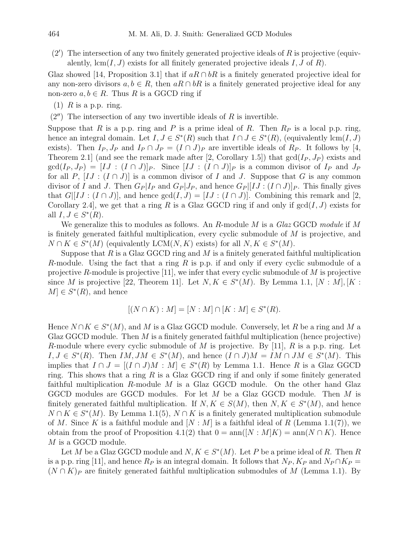$(2')$  The intersection of any two finitely generated projective ideals of R is projective (equivalently,  $lcm(I, J)$  exists for all finitely generated projective ideals I, J of R).

Glaz showed [14, Proposition 3.1] that if  $aR \cap bR$  is a finitely generated projective ideal for any non-zero divisors  $a, b \in R$ , then  $aR \cap bR$  is a finitely generated projective ideal for any non-zero  $a, b \in R$ . Thus R is a GGCD ring if

- (1)  $R$  is a p.p. ring.
- $(2'')$  The intersection of any two invertible ideals of R is invertible.

Suppose that R is a p.p. ring and P is a prime ideal of R. Then  $R_P$  is a local p.p. ring, hence an integral domain. Let  $I, J \in S^*(R)$  such that  $I \cap J \in S^*(R)$ , (equivalently lcm(I, J) exists). Then  $I_P$ ,  $J_P$  and  $I_P \cap J_P = (I \cap J)_P$  are invertible ideals of  $R_P$ . It follows by [4, Theorem 2.1 (and see the remark made after [2, Corollary 1.5]) that  $gcd(I_P, J_P)$  exists and  $gcd(I_P, J_P) = [IJ : (I \cap J)]_P$ . Since  $[IJ : (I \cap J)]_P$  is a common divisor of  $I_P$  and  $J_P$ for all P,  $[IJ : (I \cap J)]$  is a common divisor of I and J. Suppose that G is any common divisor of I and J. Then  $G_P | I_P$  and  $G_P | J_P$ , and hence  $G_P | [IJ : (I \cap J)]_P$ . This finally gives that  $G|[IJ:(I\cap J)]$ , and hence  $gcd(I,J)=[IJ:(I\cap J)]$ . Combining this remark and [2, Corollary 2.4, we get that a ring R is a Glaz GGCD ring if and only if  $gcd(I, J)$  exists for all  $I, J \in S^*(R)$ .

We generalize this to modules as follows. An R-module M is a *Glaz* GGCD *module* if M is finitely generated faithful multiplication, every cyclic submodule of M is projective, and  $N \cap K \in S^*(M)$  (equivalently LCM(N, K) exists) for all  $N, K \in S^*(M)$ .

Suppose that  $R$  is a Glaz GGCD ring and  $M$  is a finitely generated faithful multiplication R-module. Using the fact that a ring R is p.p. if and only if every cyclic submodule of a projective R-module is projective [11], we infer that every cyclic submodule of  $M$  is projective since M is projective [22, Theorem 11]. Let  $N, K \in S^*(M)$ . By Lemma 1.1,  $[N : M], [K :$  $M \in S^*(R)$ , and hence

$$
[(N \cap K) : M] = [N : M] \cap [K : M] \in S^*(R).
$$

Hence  $N \cap K \in S^*(M)$ , and M is a Glaz GGCD module. Conversely, let R be a ring and M a Glaz GGCD module. Then  $M$  is a finitely generated faithful multiplication (hence projective) R-module where every cyclic submodule of M is projective. By [11], R is a p.p. ring. Let  $I, J \in S^*(R)$ . Then  $IM, JM \in S^*(M)$ , and hence  $(I \cap J)M = IM \cap JM \in S^*(M)$ . This implies that  $I \cap J = [(I \cap J)M : M] \in S^*(R)$  by Lemma 1.1. Hence R is a Glaz GGCD ring. This shows that a ring  $R$  is a Glaz GGCD ring if and only if some finitely generated faithful multiplication  $R$ -module  $M$  is a Glaz GGCD module. On the other hand Glaz GGCD modules are GGCD modules. For let M be a Glaz GGCD module. Then M is finitely generated faithful multiplication. If  $N, K \in S(M)$ , then  $N, K \in S^*(M)$ , and hence  $N \cap K \in S^*(M)$ . By Lemma 1.1(5),  $N \cap K$  is a finitely generated multiplication submodule of M. Since K is a faithful module and  $[N : M]$  is a faithful ideal of R (Lemma 1.1(7)), we obtain from the proof of Proposition 4.1(2) that  $0 = \text{ann}([N : M]K) = \text{ann}(N \cap K)$ . Hence M is a GGCD module.

Let M be a Glaz GGCD module and  $N, K \in S^*(M)$ . Let P be a prime ideal of R. Then R is a p.p. ring [11], and hence  $R_P$  is an integral domain. It follows that  $N_P$ ,  $K_P$  and  $N_P \cap K_P =$  $(N \cap K)_P$  are finitely generated faithful multiplication submodules of M (Lemma 1.1). By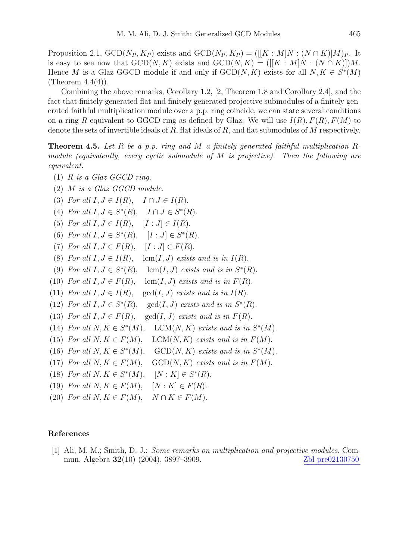Proposition 2.1,  $GCD(N_P, K_P)$  exists and  $GCD(N_P, K_P) = ([[K : M]N : (N \cap K)]M)_P$ . It is easy to see now that  $GCD(N, K)$  exists and  $GCD(N, K) = ([[K : M]N : (N \cap K)])M$ . Hence M is a Glaz GGCD module if and only if  $GCD(N, K)$  exists for all  $N, K \in S^*(M)$ (Theorem  $4.4(4)$ ).

Combining the above remarks, Corollary 1.2, [2, Theorem 1.8 and Corollary 2.4], and the fact that finitely generated flat and finitely generated projective submodules of a finitely generated faithful multiplication module over a p.p. ring coincide, we can state several conditions on a ring R equivalent to GGCD ring as defined by Glaz. We will use  $I(R)$ ,  $F(R)$ ,  $F(M)$  to denote the sets of invertible ideals of  $R$ , flat ideals of  $R$ , and flat submodules of  $M$  respectively.

Theorem 4.5. *Let* R *be a p.p. ring and* M *a finitely generated faithful multiplication* R*module (equivalently, every cyclic submodule of* M *is projective). Then the following are equivalent.*

- (1) R *is a Glaz GGCD ring.*
- (2) M *is a Glaz GGCD module.*
- (3) *For all*  $I, J \in I(R)$ ,  $I \cap J \in I(R)$ .
- (4) *For all*  $I, J \in S^*(R)$ ,  $I \cap J \in S^*(R)$ .
- (5) *For all*  $I, J \in I(R)$ ,  $[I : J] \in I(R)$ .
- (6) For all  $I, J \in S^*(R)$ ,  $[I : J] \in S^*(R)$ .
- (7) For all  $I, J \in F(R)$ ,  $[I : J] \in F(R)$ .
- (8) For all  $I, J \in I(R)$ , lcm(I, J) exists and is in  $I(R)$ .
- (9) For all  $I, J \in S^*(R)$ ,  $\operatorname{lcm}(I, J)$  *exists and is in*  $S^*(R)$ .
- (10) For all  $I, J \in F(R)$ , lcm(I, J) exists and is in  $F(R)$ .
- (11) *For all*  $I, J \in I(R)$ , gcd $(I, J)$  *exists and is in*  $I(R)$ .
- (12) *For all*  $I, J \in S^*$  $(R)$ ,  $\gcd(I, J)$  *exists and is in*  $S^*(R)$ .
- (13) For all  $I, J \in F(R)$ , gcd $(I, J)$  *exists and is in*  $F(R)$ .
- (14) *For all*  $N, K \in S^*$  $(M)$ , LCM $(N, K)$  *exists and is in*  $S^*(M)$ .
- (15) For all  $N, K \in F(M)$ , LCM(N, K) exists and is in  $F(M)$ .
- (16) *For all*  $N, K \in S^*$  $(M)$ ,  $GCD(N, K)$  *exists and is in*  $S^*(M)$ .
- (17) *For all*  $N, K \in F(M)$ , *GCD(N, K) exists and is in*  $F(M)$ .
- (18) *For all*  $N, K \in S^*$  $(M), \quad [N:K] \in S^*(R).$
- (19) *For all*  $N, K \in F(M)$ ,  $[N: K] \in F(R)$ .
- (20) *For all*  $N, K \in F(M)$ ,  $N \cap K \in F(M)$ .

## References

[1] Ali, M. M.; Smith, D. J.: *Some remarks on multiplication and projective modules.* Commun. Algebra  $32(10)$   $(2004)$ ,  $3897-3909$ . Zbl pre02130750